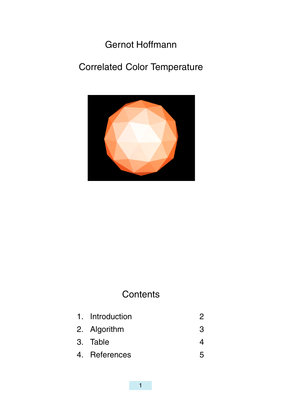

## **Contents**

| 1. Introduction |   |
|-----------------|---|
| 2. Algorithm    | 3 |
| 3. Table        |   |
| 4. References   |   |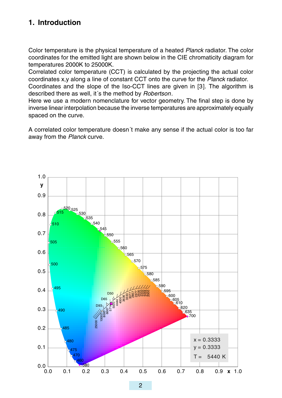## away from the Planck curve.

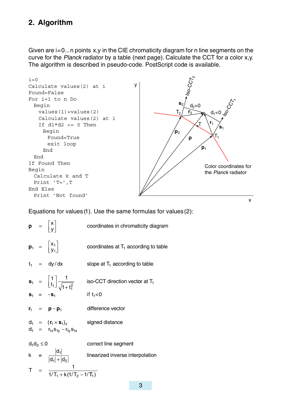e a construction of the construction of the construction of the construction of the construction of the construction of the construction of the construction of the construction of the construction of the construction of th Found=True exit loop End End If Found Then Begin Calculate k and T Print 'T=',T End Else Print 'Not found'



Equations for values(1). Use the same formulas for values(2):

|  |  | $p = \begin{vmatrix} x \\ y \end{vmatrix}$                          | coordinates in chromaticity diagram                                                                                                                                        |  |  |
|--|--|---------------------------------------------------------------------|----------------------------------------------------------------------------------------------------------------------------------------------------------------------------|--|--|
|  |  | $\mathbf{p}_1 = \begin{bmatrix} x_1 \\ y_1 \end{bmatrix}$           | coordinates at $T_1$ according to table                                                                                                                                    |  |  |
|  |  | $t_1 = dy/dx$                                                       | slope at $T_1$ according to table                                                                                                                                          |  |  |
|  |  |                                                                     | $\mathbf{s}_1 = \begin{bmatrix} 1 \\ t_1 \end{bmatrix} \frac{1}{\sqrt{1+t_1^2}}$ iso-CCT direction vector at T <sub>1</sub><br>$\mathbf{s}_1 = -\mathbf{s}_1$ if $t_1 < 0$ |  |  |
|  |  |                                                                     |                                                                                                                                                                            |  |  |
|  |  | $r_1 = p - p_1$                                                     | difference vector                                                                                                                                                          |  |  |
|  |  | $d_1 = (r_1 \times s_1)_z$<br>$d_1 = r_{1x} s_{1y} - r_{1y} s_{1x}$ | signed distance                                                                                                                                                            |  |  |
|  |  |                                                                     |                                                                                                                                                                            |  |  |
|  |  |                                                                     | $d_1 d_2 \le 0$ correct line segment<br>$k = \frac{ d_1 }{ d_1  +  d_2 }$ linearized inverse interpolation                                                                 |  |  |
|  |  | T = $\frac{1}{1/T_1 + k(1/T_2 - 1/T_1)}$                            |                                                                                                                                                                            |  |  |
|  |  |                                                                     |                                                                                                                                                                            |  |  |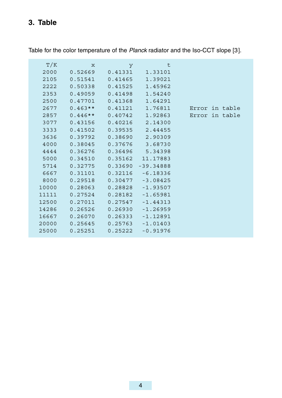| 3636  | 0.39792 | 0.38690 | 2.90309     |
|-------|---------|---------|-------------|
| 4000  | 0.38045 | 0.37676 | 3.68730     |
| 4444  | 0.36276 | 0.36496 | 5.34398     |
| 5000  | 0.34510 | 0.35162 | 11.17883    |
| 5714  | 0.32775 | 0.33690 | $-39.34888$ |
| 6667  | 0.31101 | 0.32116 | $-6.18336$  |
| 8000  | 0.29518 | 0.30477 | $-3.08425$  |
| 10000 | 0.28063 | 0.28828 | $-1.93507$  |
| 11111 | 0.27524 | 0.28182 | -1.65981    |
| 12500 | 0.27011 | 0.27547 | $-1.44313$  |
| 14286 | 0.26526 | 0.26930 | $-1.26959$  |
| 16667 | 0.26070 | 0.26333 | $-1.12891$  |
| 20000 | 0.25645 | 0.25763 | $-1.01403$  |
| 25000 | 0.25251 | 0.25222 | $-0.91976$  |
|       |         |         |             |